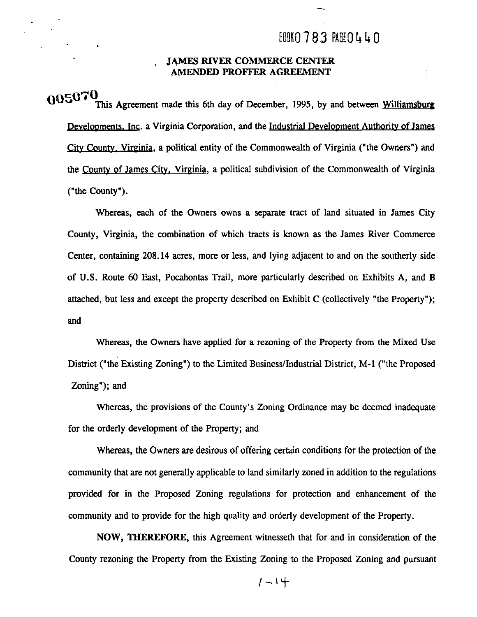### BOOK0783 PAGE0440

#### **JAMES RIVER COMMERCE CENTER AMENDED PROFFER AGREEMENT**

**0050 "0**  This Agreement made this 6th day of December, 1995, by and between Williamsburg Developments. Inc. a Virginia Corporation, and the Industrial Development Authority of James city County. Vireinia, a political entity of the Commonwealth of Virginia ("the Owners") and the Countv of James City. Virginia, a political subdivision of the Commonwealth of Virginia ("the County").

Whereas, each of the Owners owns a separate tract of land situated in James City County, Virginia, the combination of which tracts is known as the James River Commerce Center, containing 208.14 acres, more or less, and lying adjacent to and on the southerly side of **U.S.** Route 60 East, Pocahontas Trail, more particularly described on Exhibits A, and B attached, but less and except the property described on Exhibit C (collectively "the Property"); and

Whereas, the Owners have applied for a rezoning of the Property from the Mixed Use District ("the Existing Zoning") to the Limited Business/Industrial District, M-1 ("the Proposed Zoning"); and

Whereas, the provisions of the County's Zoning Ordinance may be deemed inadequate for the orderly development of the Property; and

Whereas, the Owners are desirous of offering certain conditions for the protection of the community that are not generally applicable to land similarly zoned in addition to the regulations provided for in the Proposed Zoning regulations for protection and enhancement of the community and to provide for the high quality and orderly development of the Property.

**NOW, THEREFORE,** this Agreement witnesseth that for and in consideration of the County rezoning the Property from the Existing Zoning to the Proposed Zoning and pursuant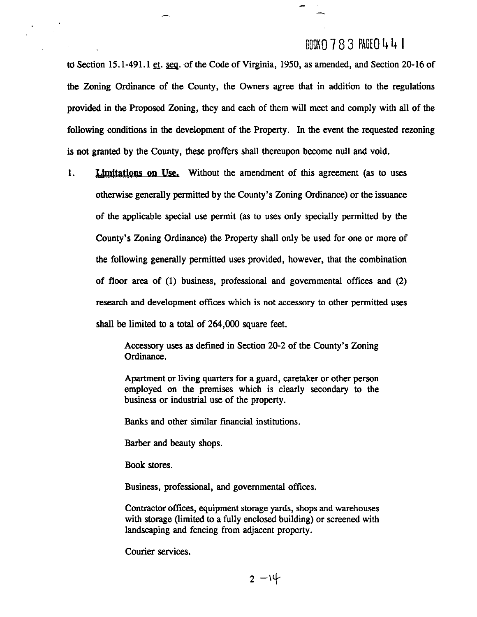### ROOK0 7 8 3 PAGE0 **It** 4 1

to Section 15.1-491.1 **st.** seq. of the Code of Virginia, 1950, as amended, and Section 20-16 of the Zoning Ordinance of the County, the Owners agree that in addition to the regulations provided in the Proposed Zoning, they and each of them will meet and comply with all of the following conditions in the development of the Property. In the event the requested rezoning is not granted by the County, these proffers shall thereupon become null and void.

1. **Limitations on Use.** Without the amendment of this agreement (as to uses otherwise generally permitted by the County's Zoning Ordinance) or the issuance of the applicable special use permit (as to uses only specially permitted by the County's Zoning Ordinance) the Property shall only be used for one or more of the following generally permitted uses provided, however, that the combination of floor area of (1) business, professional and governmental offices and (2) research and development offices which is not accessory to other permitted uses shall be limited to a total of 264,000 square feet.

> Accessory uses as defined in Section 20-2 of the County's Zoning Ordinance.

> Apartment or living quarters for a guard, caretaker or other person employed on the premises which is clearly secondary to the business or industrial use of the property.

**Banks** and other similar financial institutions.

Barber and beauty shops.

Book stores.

Business, professional, and governmental offices.

Contractor offices, equipment storage yards, shops and warehouses with storage (limited to a fully enclosed building) or screened with landscaping and fencing from adjacent property.

Courier services.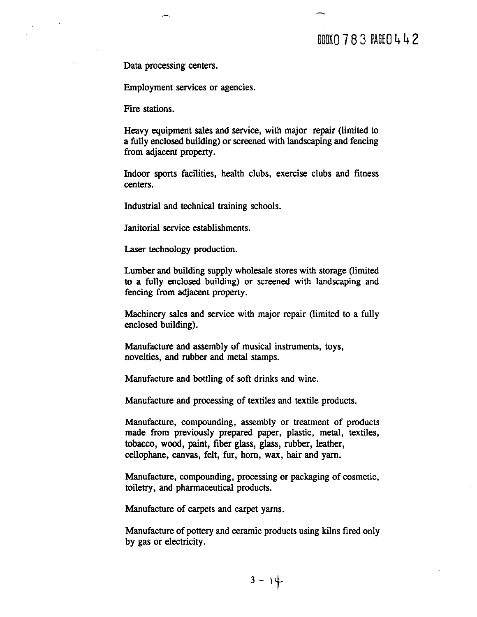### BOOK 0 7 8 3 PAGE 0 4 4 2

Data processing centers.

Employment services or agencies.

Fire stations.

Heavy equipment sales and service, with major repair (limited to a fully enclosed building) or screened with landscaping and fencing from adjacent property.

Indoor sports facilities, health clubs, exercise clubs and fitness centers.

Industrial and technical training schools.

Janitorial service establishments.

Laser technology production.

Lumber and building supply wholesale stores with storage (limited to a fully enclosed building) or screened with landscaping and fencing from adjacent property.

Machinery sales and service with major repair (limited to a fully enclosed building).

Manufacture and assembly of musical instruments, toys, novelties, and rubber and metal stamps.

Manufacture and bottling of **soft** drinks and wine.

Manufacture and processing of textiles and textile products.

Manufacture, compounding, assembly or treatment of products made from previously prepared paper, plastic, metal, textiles, tobacco, wood, paint, fiber glass, glass, rubber, leather, cellophane, canvas, felt, fur, horn, wax, hair and yarn.

Manufacture, compounding, processing or packaging of cosmetic, toiletry, and pharmaceutical products.

Manufacture of carpets and carpet yarns.

Manufacture of pottery and ceramic products using kilns fired only by gas or electricity.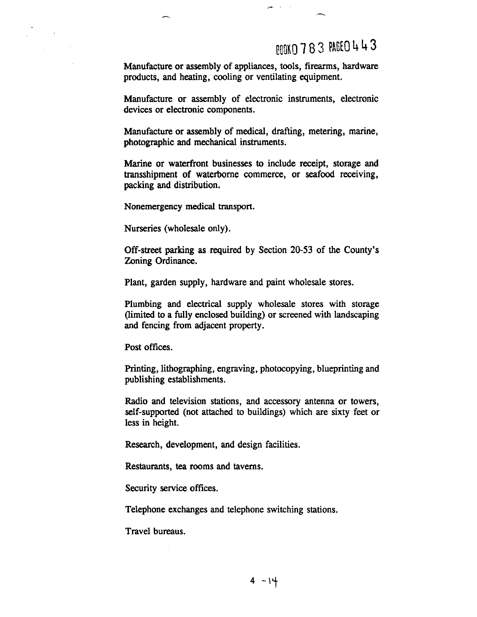### 000XO 783 PAGEO 443

Manufacture or assembly of appliances, tools, firearms, hardware products, and heating, cooling or ventilating equipment.

الدراسي

Manufacture or assembly of electronic instruments, electronic devices or electronic components.

Manufacture or assembly of medical, drafting, metering, marine, photographic and mechanical instruments.

Marine or waterfront businesses to include receipt, storage and transshipment of waterborne commerce, or seafood receiving, packing and distribution.

Nonemergency medical transport.

Nurseries (wholesale only).

Off-street parking as required by Section 20-53 of the County's Zoning Ordinance.

Plant, garden supply, hardware and paint wholesale stores.

Plumbing and electrical supply wholesale stores with storage (limited to a fully enclosed building) or screened with landscaping and fencing from adjacent property.

Post offices.

Printing, lithographing, engraving, photocopying, blueprinting and publishing establishments.

Radio and television stations, and accessory antenna or towers, self-supported (not attached to buildings) which are sixty feet or less in height.

Research, development, and design facilities.

Restaurants, **tea** rooms and taverns.

Security service offices.

Telephone exchanges and telephone switching stations.

Travel bureaus.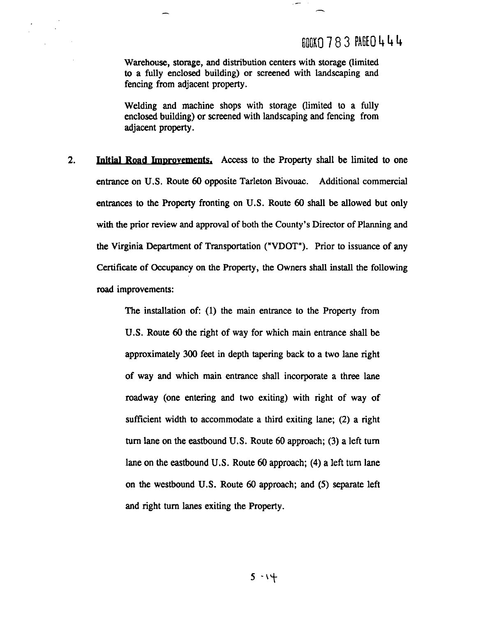### $max 783$   $BSE0444$

Warehouse, storage, and distribution centers with storage (limited to a fully enclosed building) or screened with landscaping and fencing from adjacent property.

Welding and machine shops with storage (limited to a fully enclosed building) or screened with landscaping and fencing from adjacent property.

2. **Initial Road Improvements.** Access to the Property shall be limited to one entrance on **U.S.** Route 60 opposite Tarleton Bivouac. Additional commercial entrances to the Property fronting on **U.S.** Route 60 shall be allowed but only with the prior review and approval of both the County's Director of Planning and the Virginia Department of Transportation ("VDOT"). Prior to issuance of any Certificate of Occupancy on the Property, the Owners shall install the following road improvements:

> The installation of: (1) the main entrance to the Property from **U.S.** Route 60 the right of way for which main entrance shall be approximately 300 feet in depth tapering back to a two lane right of way and which main entrance shall incorporate a three lane roadway (one entering and two exiting) with right of way of sufficient width to accommodate a third exiting lane; (2) a right turn lane on the eastbound **U.S.** Route 60 approach; (3) a left turn lane on the eastbound **U.S.** Route 60 approach; (4) a left turn lane on the westbound **U.S.** Route 60 approach; and (5) separate left and right turn lanes exiting the Property.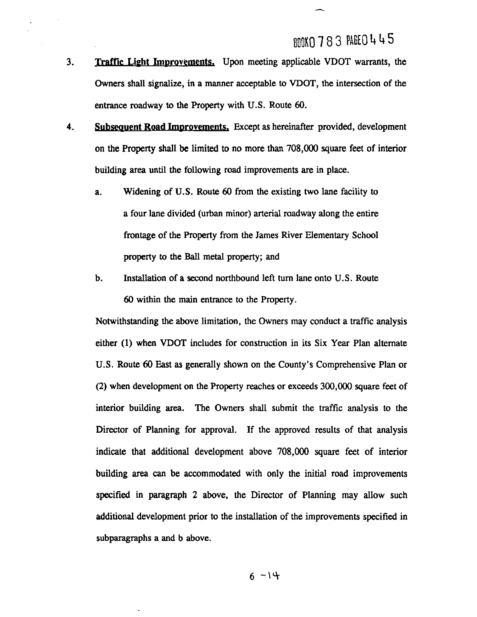- **3. Traffic Light Imwovements,** Upon meeting applicable VDOT warrants, the Owners shall signalize, in a manner acceptable to VDOT, the intersection of the entrance roadway to the Property with U.S. Route 60.
- **4. Subsequent Road Improvements.** Except as hereinafter provided, development on the Property shall be limited to no more than 708,000 square feet of interior building area until the following road improvements are in place.
	- a. Widening of U.S. Route 60 from the existing two lane facility to a four lane divided (urban minor) arterial roadway along the entire frontage of the Property from the James River Elementary School property to the Ball metal property; and
	- b. Installation of a second northbound left turn lane onto U.S. Route 60 within the main entrance to the Property.

Notwithstanding the above limitation, the Owners may conduct a traffic analysis either (1) when **VDOT** includes for construction in its Six Year Plan alternate U.S. Route 60 East as generally shown on the County's Comprehensive Plan or (2) when development on the Property reaches or exceeds 300,000 square feet of interior building area. The Owners shall submit the traffic analysis to the Director of Planning for approval. If the approved results of that analysis indicate that additional development above 708,000 square feet of interior building area can be accommodated with only the initial road improvements specified in paragraph 2 above, the Director of Planning may allow such additional development prior to the installation of the improvements specified in subparagraphs a and b above.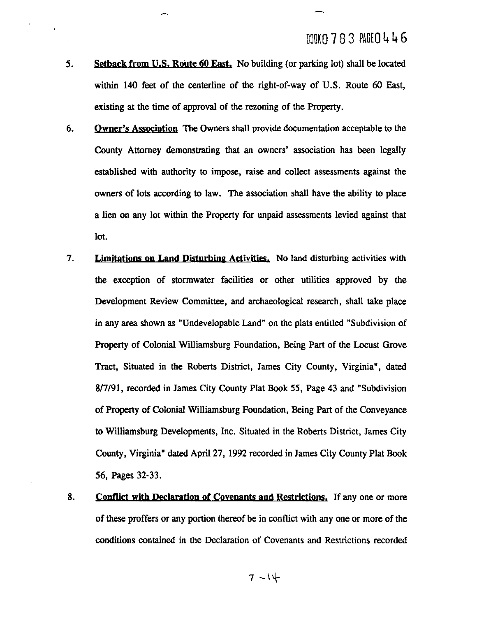- **5.** Setback from **U.S.** Route 60 East. No building (or parking lot) shall be located within 140 feet of the centerline of the right-of-way of U.S. Route 60 East, existing at the time of approval of the rezoning of the Property.
- **6. Owner's Association** The Owners shall provide documentation acceptable to the County Attorney demonstrating that an owners' association has been legally established with authority to impose, raise and collect assessments against the owners of lots according to law. The association shall have the ability to place a lien on any lot within the Property for unpaid assessments levied against that lot.
- 7. **Limitations on Land Disturbing Activities.** No land disturbing activities with the exception of stormwater facilities or other utilities approved by the Development Review Committee, and archaeological research, shall take place in any area shown as "Undevelopable Land" on the plats entitled "Subdivision of Property of Colonial Williamsburg Foundation, Being Part of the Locust Grove Tract, Situated in the Roberts District, James City County, Virginia", dated **8/7/91,** recorded in James City County Plat **Book** 55, Page **43** and "Subdivision of Property of Colonial Williarnsburg Foundation, Being Part of the Conveyance to Williamsburg Developments, Inc. Situated in the Roberts District, James City County, Virginia" dated April **27,** 1992 recorded in James City County Plat **Book**  56, Pages **32-33.**
- 8. Conflict with Declaration of Covenants and Restrictions. If any one or more of these proffers or any portion thereof be in conflict with any one or more of the conditions contained in the Declaration of Covenants and Restrictions recorded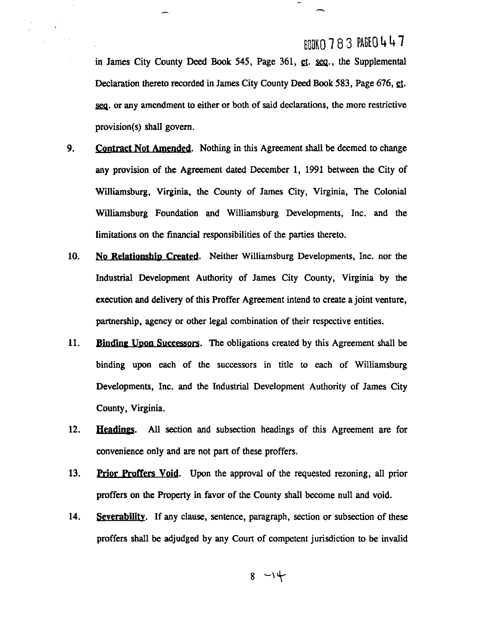in James City County Deed **Book 545,** Page 361, **a. u.,** the Supplemental Declaration thereto recorded in James City County Deed **Book 583,** Page 676, **a.**  seq. or any amendment to either or both of said declarations, the more restrictive provision(s) shall govern.

 $\bar{\epsilon}$ 

- **9. Contract Not Amended.** Nothing in this Agreement shall be deemed to change any provision of the Agreement dated December 1, 1991 between the City of Wiliamsburg, Virginia, the County of James City, Virginia, The Colonial Williamsburg Foundation and Williamsburg Developments, Inc. and the limitations on the financial responsibilities of the parties thereto.
- 10. No Relationship Created. Neither Williamsburg Developments, Inc. nor the Industrial, Development Authority of James City County, Virginia by the execution and delivery of this Proffer Agreement intend to create a joint venture, partnership, agency or other legal combination of their respective entities.
- 11. **Binding Upon Successors.** The obligations created by this Agreement shall be binding upon each of the successors in title to each of Williamsburg Developments, Inc. and the Industrial Development Authority of James City County, Virginia.
- 12. **Headings.** All section and subsection headings of this Agreement are for convenience only and are not part of these proffers.
- **13. hior Proffers Void.** Upon the approval of the requested rezoning, all prior proffers on the Property in favor of the County shall become null and void.
- 14. **Severabilitv.** If any clause, sentence, paragraph, section or subsection of these proffers shall be adjudged by any Court of competent jurisdiction to be invalid

$$
8 - 14
$$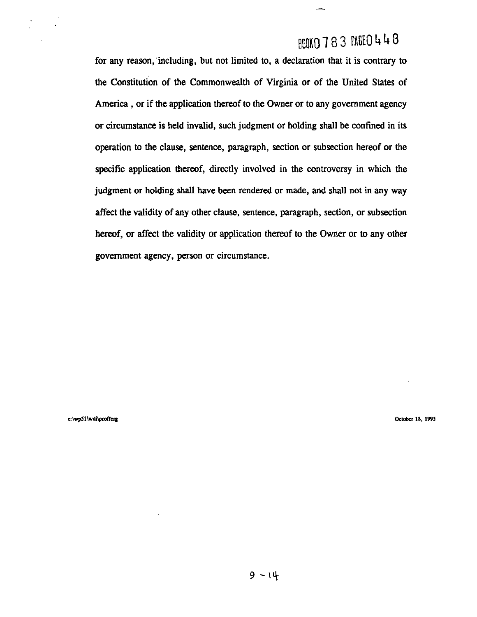## BOOKO 783 PAGEO 448

for any reason, including, but not limited to, a declaration that it is contrary to the Constitution of the Commonwealth of Virginia or of the United States of America, or if the application thereof to the Owner or to any government agency or circumstance is held invalid, such judgment or holding shall be confined in its operation to the clause, sentence, paragraph, section or subsection hereof or the specific application thereof, directly involved in the controversy in which the judgment or holding shall have been rendered or made, and shall not in any way affect the validity of any other clause, sentence, paragraph, section, or subsection hereof, or affect the validity or application thereof to the Owner or to any other government agency, person or circumstance.

c:\wp51\wdi\profferg

October 18, 1995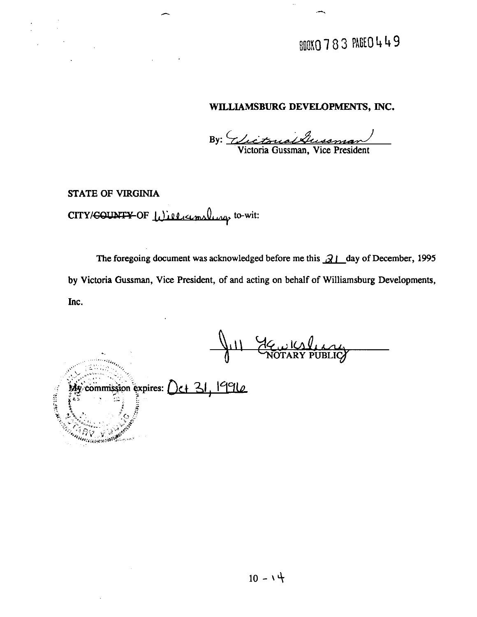BOOKO 783 PAGEO 449

#### **WILLIAMSBURG DEVELOPMENTS, INC.**

**Victoria Gussman, Vice President** 

**STATE OF VIRGINIA** 

*FRANCECEDAR 98099900* 

### CITY/<del>COUNTY</del> OF Williamslung to-wit:

The foregoing document was acknowledged before me this  $\frac{\partial}{\partial l}$  day of December, 1995 **by Victoria Gussman, Vice President, of and acting on behalf of Williamsburg Developments, Inc.** 

Gewler PUBLIC commission expires:  $\left( \frac{\sum_{i=1}^{n} |q_i|}{\sum_{i=1}^{n} |q_i|} \right)$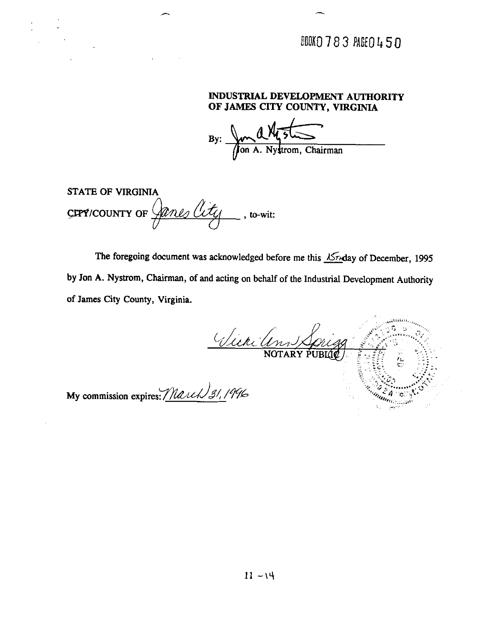### DOOKO 783 PAGEO 450

#### **INDUSTRIAL DEVELOPMENT AUTHORITY OF JAMES CITY COUNTY, VIRGINIA**

By: AM5

**STATE** OF VIRGINIA  $C$ FPY/COUNTY OF  $\mathcal{Q}_{\ell}$   $\mathcal{M}_{\ell}$   $\mathcal{M}_{\ell}$   $\mathcal{M}_{\ell}$  , to-wit: <u>junes city</u>

The foregoing document was acknowledged before me this X<sub>74</sub>day of December, 1995 by Jon A. Nystrom, Chairman, of and acting on behalf of the Industrial Development Authority of James City County, Virginia.

Vier (en 1 Lori

My commission expires: March 31, 1996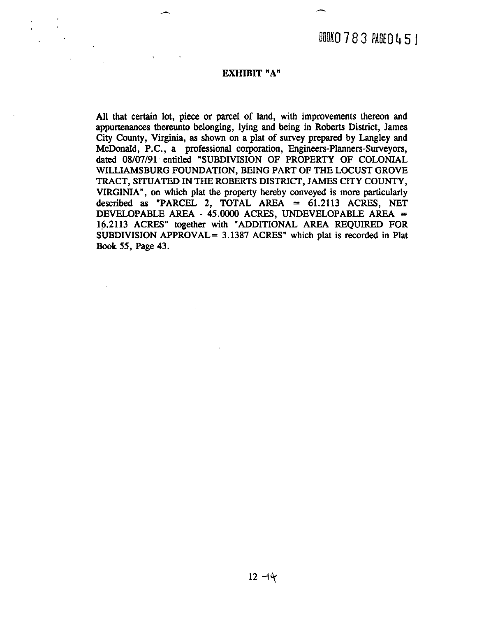#### **EXHIBIT "A"**

All that certain lot, piece or parcel of land, with improvements thereon and appurtenances thereunto belonging, lying and being in Roberts District, James City County, Virginia, **as** shown on a plat of survey prepared by Langley and McDonald, P.C., a professional corporation, Engineers-Planners-Surveyors, dated **08/07/91** entitled "SUBDIVISION OF PROPERTY OF COLONIAL WILLIAMSBURG FOUNDATION, BEING PART OF THE LOCUST GROVE **TRACT,** SITUATED IN THE ROBERTS DISTRICT, JAMES CITY COUNTY, VIRGINIA", on which plat the property hereby conveyed is more particularly described **as** "PARCEL 2, TOTAL AREA = 61.2113 ACRES, NET DEVELOPABLE AREA - **45.0000** ACRES, UNDEVELOPABLE AREA = **16.2113** ACRES" together with "ADDITIONAL AREA **REQUIRED** FOR SUBDIVISION APPROVAL= **3.1387** ACRES" which plat is recorded in Plat **Book** 55, Page **43.**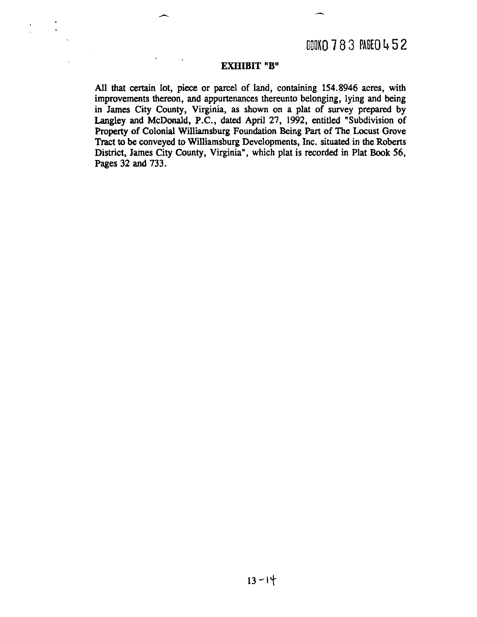#### **EXHIBIT "B"**

**AU** that certain lot, piece or **parcel** of land, containing **154.8946** acres, with improvements thereon, and appurtenances thereunto belonging, lying and being in James City County, Virginia, as shown on a plat of survey prepared by Langley and McDonald, P.C., dated April **27, 1992,** entitled "Subdivision of Property of Colonial Williamsburg Foundation **Being** Part of The Locust Grove Tract to be conveyed to Williamsburg Developments, Inc. situated in the Roberts District, James City County, Virginia", which plat is recorded in Plat **Book 56,**  Pages **32** and **733.**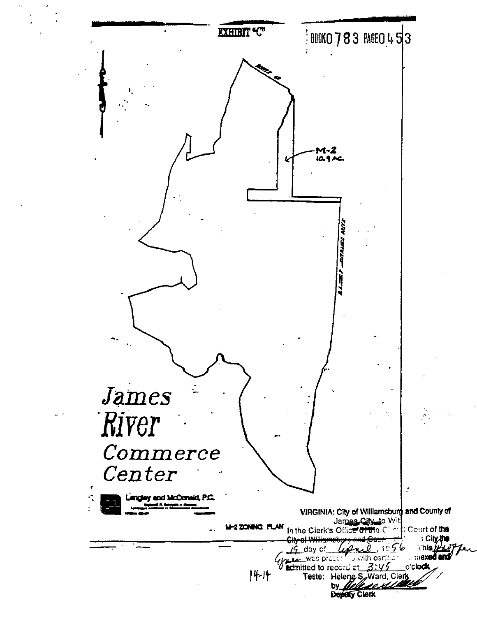